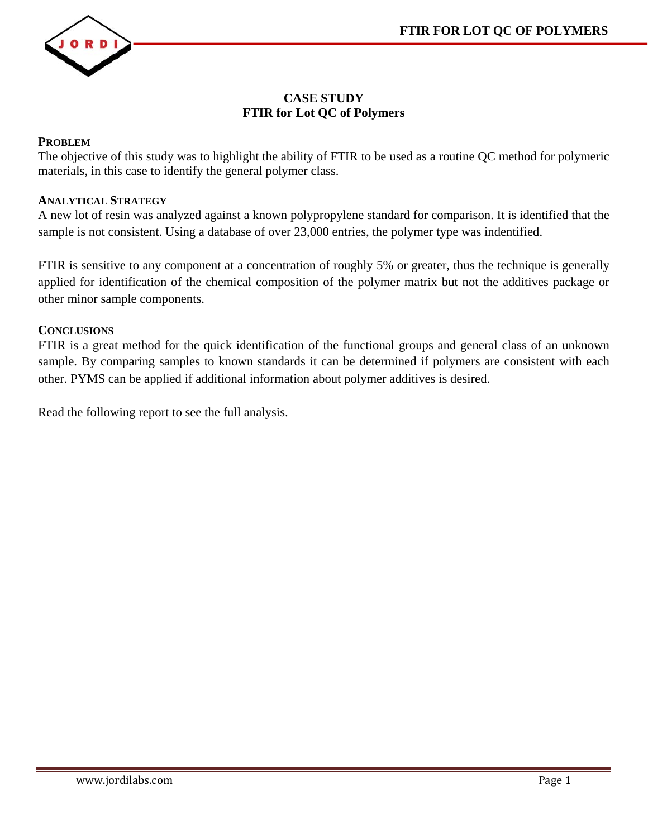

#### **CASE STUDY FTIR for Lot QC of Polymers**

#### **PROBLEM**

The objective of this study was to highlight the ability of FTIR to be used as a routine QC method for polymeric materials, in this case to identify the general polymer class.

#### **ANALYTICAL STRATEGY**

A new lot of resin was analyzed against a known polypropylene standard for comparison. It is identified that the sample is not consistent. Using a database of over 23,000 entries, the polymer type was indentified.

FTIR is sensitive to any component at a concentration of roughly 5% or greater, thus the technique is generally applied for identification of the chemical composition of the polymer matrix but not the additives package or other minor sample components.

#### **CONCLUSIONS**

FTIR is a great method for the quick identification of the functional groups and general class of an unknown sample. By comparing samples to known standards it can be determined if polymers are consistent with each other. PYMS can be applied if additional information about polymer additives is desired.

Read the following report to see the full analysis.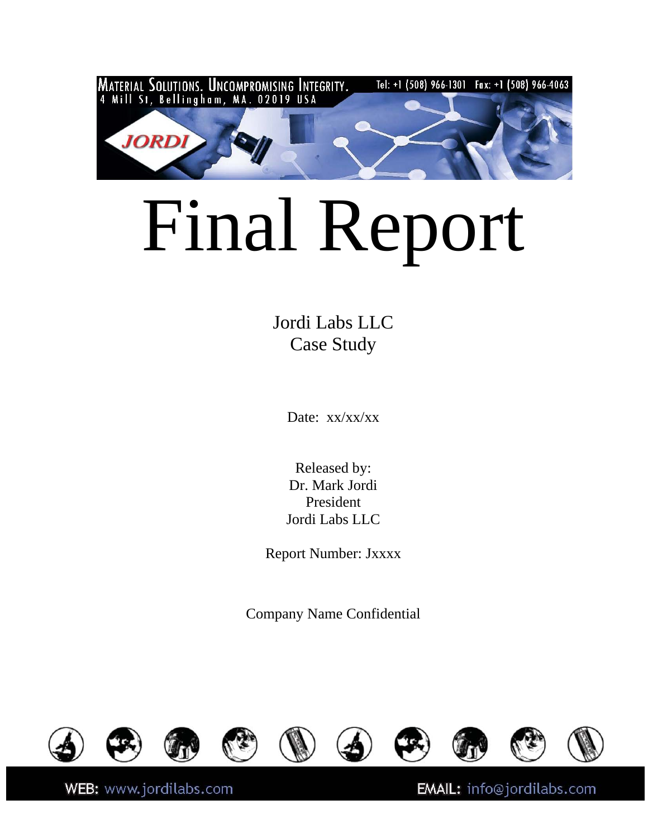

# Final Report

Jordi Labs LLC Case Study

Date: xx/xx/xx

Released by: Dr. Mark Jordi President Jordi Labs LLC

Report Number: Jxxxx

Company Name Confidential



WEB: www.jordilabs.com

EMAIL: info@jordilabs.com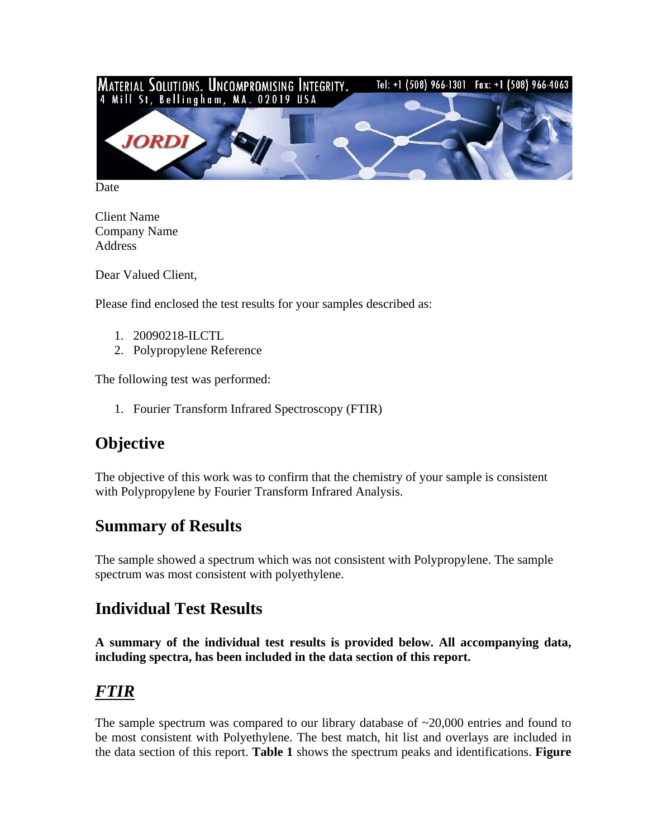

Date

Client Name Company Name Address

Dear Valued Client,

Please find enclosed the test results for your samples described as:

- 1. 20090218-ILCTL
- 2. Polypropylene Reference

The following test was performed:

1. Fourier Transform Infrared Spectroscopy (FTIR)

## **Objective**

The objective of this work was to confirm that the chemistry of your sample is consistent with Polypropylene by Fourier Transform Infrared Analysis.

## **Summary of Results**

The sample showed a spectrum which was not consistent with Polypropylene. The sample spectrum was most consistent with polyethylene.

## **Individual Test Results**

**A summary of the individual test results is provided below. All accompanying data, including spectra, has been included in the data section of this report.** 

## *FTIR*

The sample spectrum was compared to our library database of  $\sim$ 20,000 entries and found to be most consistent with Polyethylene. The best match, hit list and overlays are included in the data section of this report. **Table 1** shows the spectrum peaks and identifications. **Figure**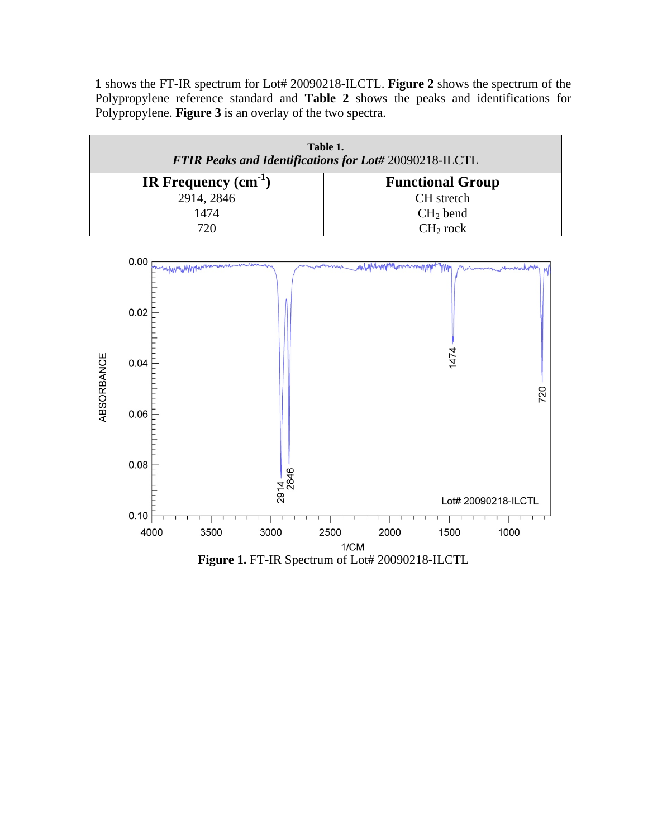**1** shows the FT-IR spectrum for Lot# 20090218-ILCTL. **Figure 2** shows the spectrum of the Polypropylene reference standard and **Table 2** shows the peaks and identifications for Polypropylene. **Figure 3** is an overlay of the two spectra.

| Table 1.<br>FTIR Peaks and Identifications for Lot# 20090218-ILCTL |                         |  |  |  |
|--------------------------------------------------------------------|-------------------------|--|--|--|
| IR Frequency $(cm-1)$                                              | <b>Functional Group</b> |  |  |  |
| 2914, 2846                                                         | CH stretch              |  |  |  |
| 1474                                                               | $CH2$ bend              |  |  |  |
| 720                                                                | CH <sub>2</sub> rock    |  |  |  |

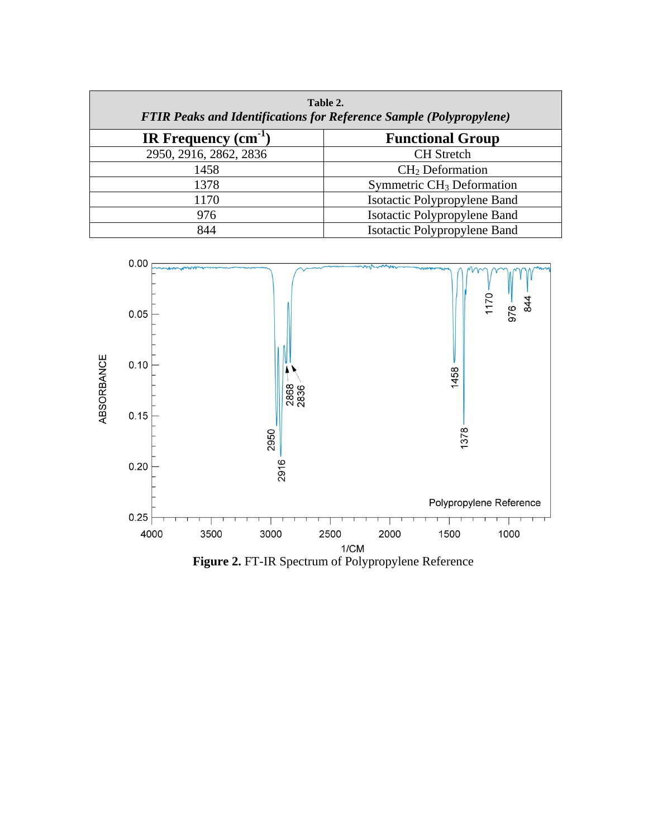| Table 2.<br><b>FTIR Peaks and Identifications for Reference Sample (Polypropylene)</b> |                                       |  |  |
|----------------------------------------------------------------------------------------|---------------------------------------|--|--|
| IR Frequency $(cm-1)$                                                                  | <b>Functional Group</b>               |  |  |
| 2950, 2916, 2862, 2836                                                                 | <b>CH</b> Stretch                     |  |  |
| 1458                                                                                   | $CH2$ Deformation                     |  |  |
| 1378                                                                                   | Symmetric CH <sub>3</sub> Deformation |  |  |
| 1170                                                                                   | Isotactic Polypropylene Band          |  |  |
| 976                                                                                    | <b>Isotactic Polypropylene Band</b>   |  |  |
| 844                                                                                    | Isotactic Polypropylene Band          |  |  |

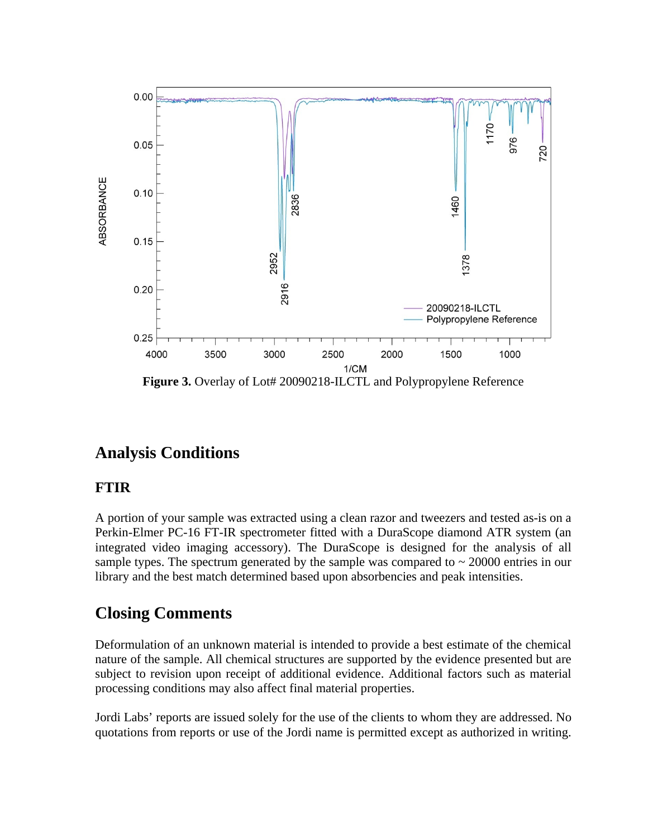

## **Analysis Conditions**

#### **FTIR**

A portion of your sample was extracted using a clean razor and tweezers and tested as-is on a Perkin-Elmer PC-16 FT-IR spectrometer fitted with a DuraScope diamond ATR system (an integrated video imaging accessory). The DuraScope is designed for the analysis of all sample types. The spectrum generated by the sample was compared to  $\sim 20000$  entries in our library and the best match determined based upon absorbencies and peak intensities.

## **Closing Comments**

Deformulation of an unknown material is intended to provide a best estimate of the chemical nature of the sample. All chemical structures are supported by the evidence presented but are subject to revision upon receipt of additional evidence. Additional factors such as material processing conditions may also affect final material properties.

Jordi Labs' reports are issued solely for the use of the clients to whom they are addressed. No quotations from reports or use of the Jordi name is permitted except as authorized in writing.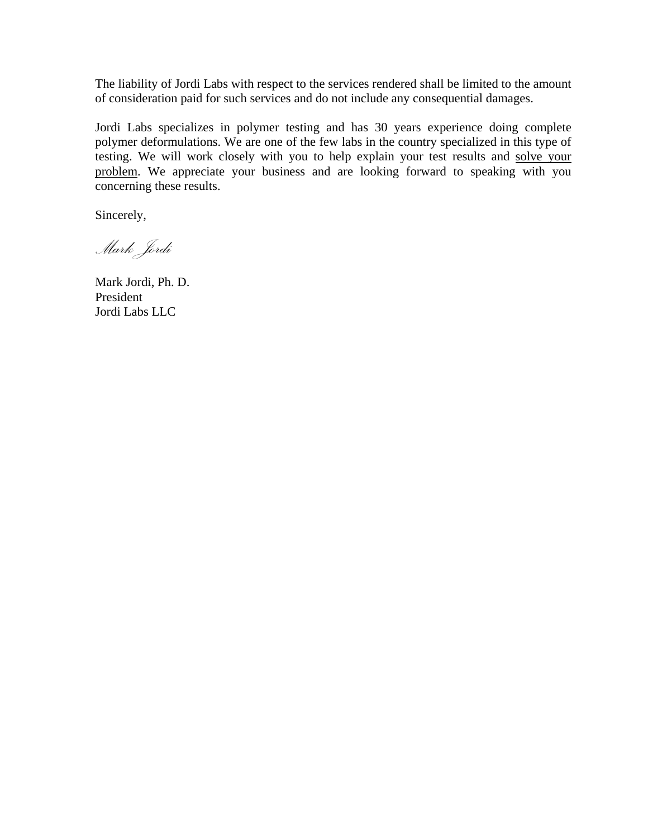The liability of Jordi Labs with respect to the services rendered shall be limited to the amount of consideration paid for such services and do not include any consequential damages.

Jordi Labs specializes in polymer testing and has 30 years experience doing complete polymer deformulations. We are one of the few labs in the country specialized in this type of testing. We will work closely with you to help explain your test results and solve your problem. We appreciate your business and are looking forward to speaking with you concerning these results.

Sincerely,

*Mark Jordi* 

Mark Jordi, Ph. D. President Jordi Labs LLC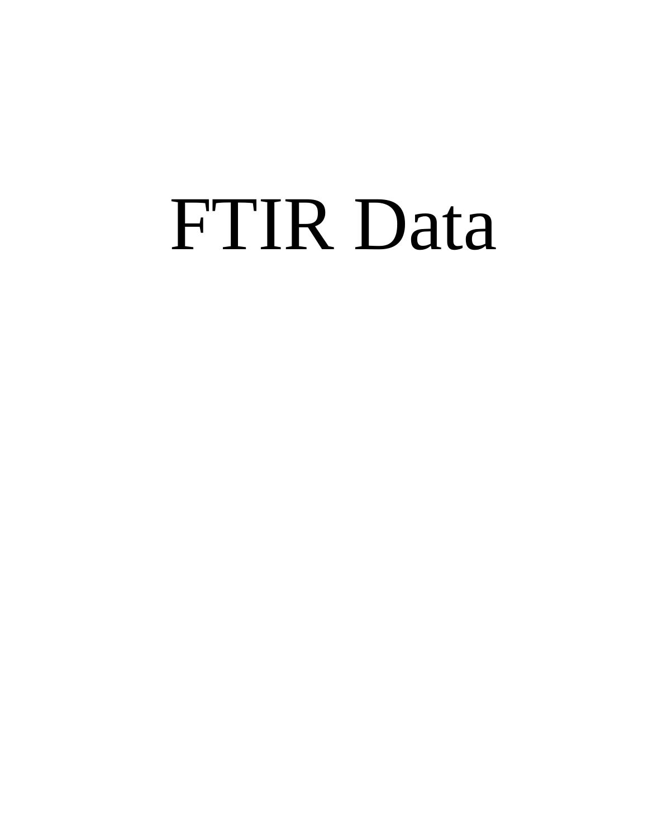## FTIR Data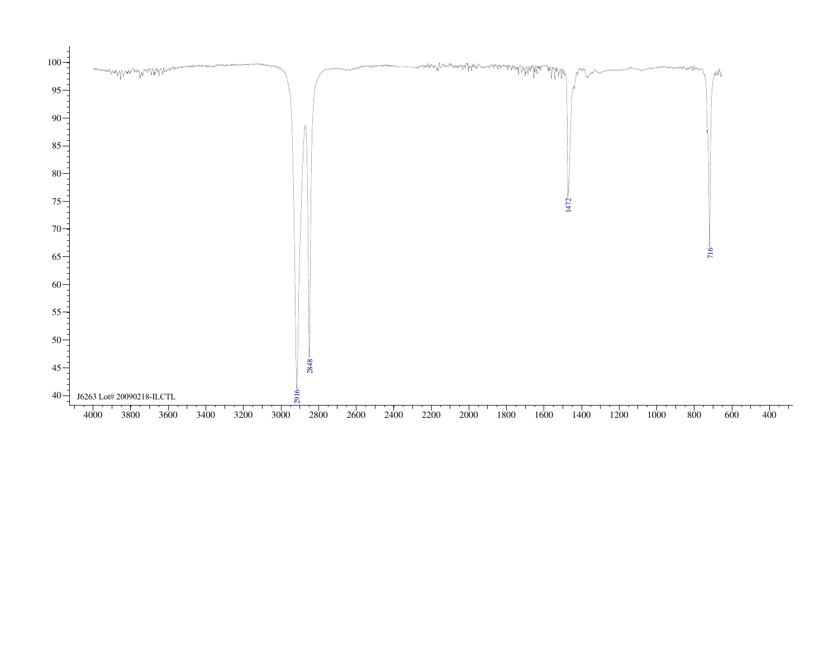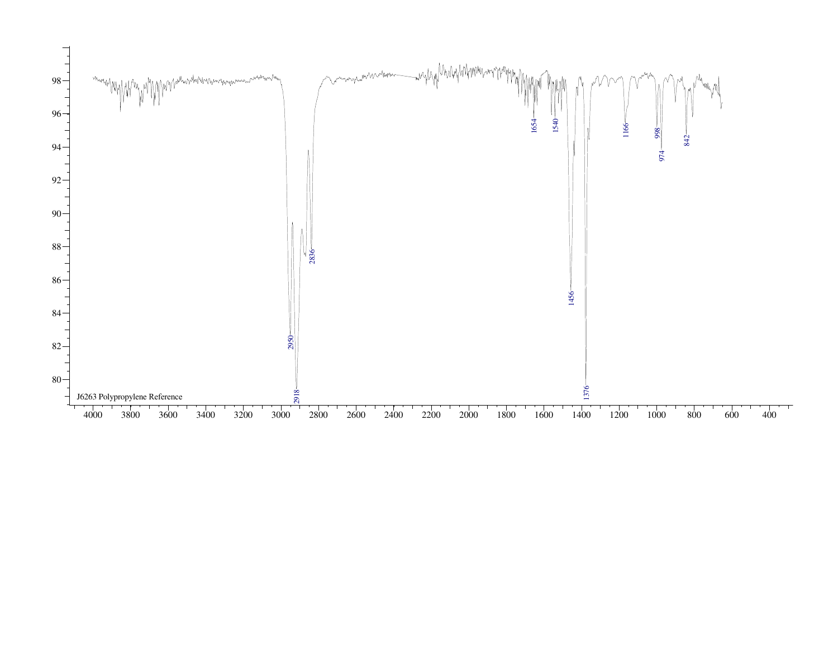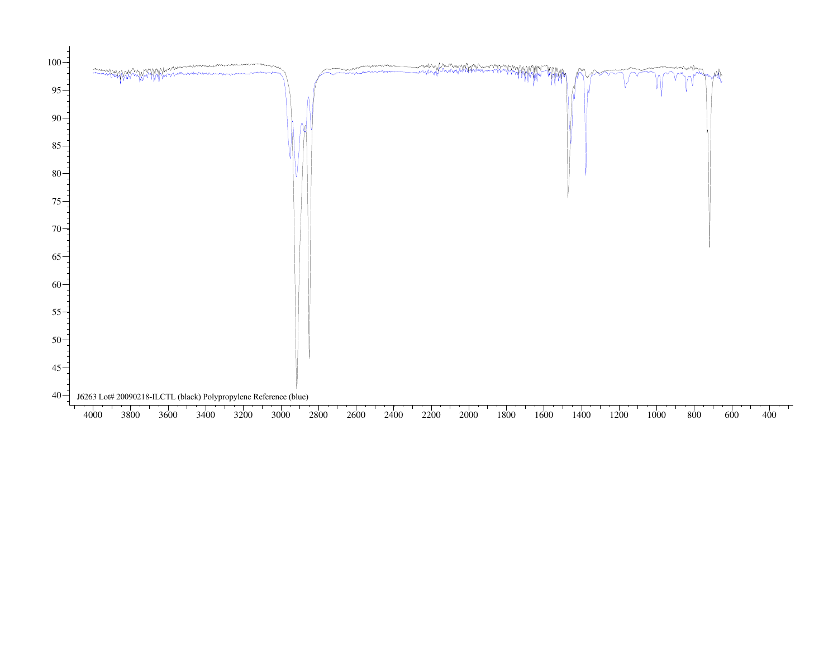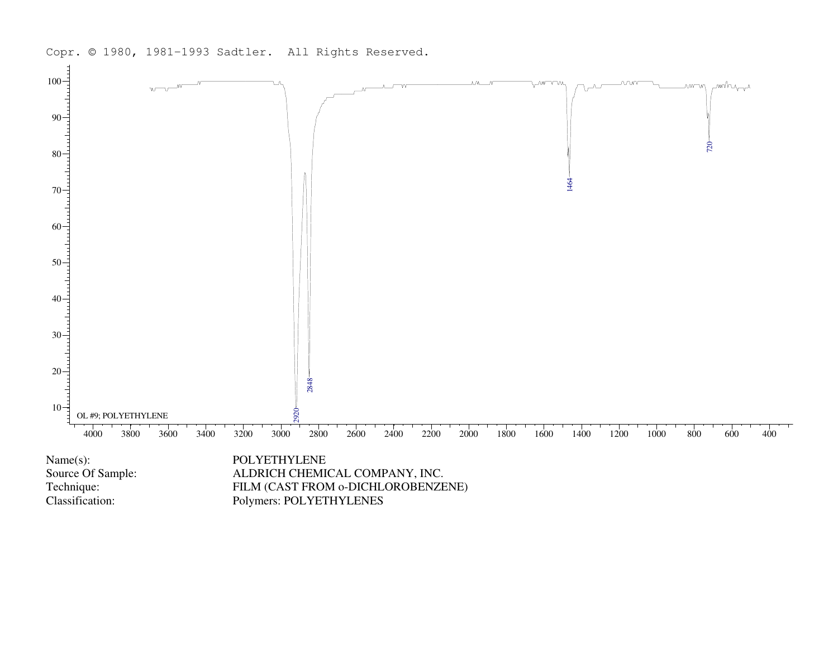



Polymers: POLYETHYLENES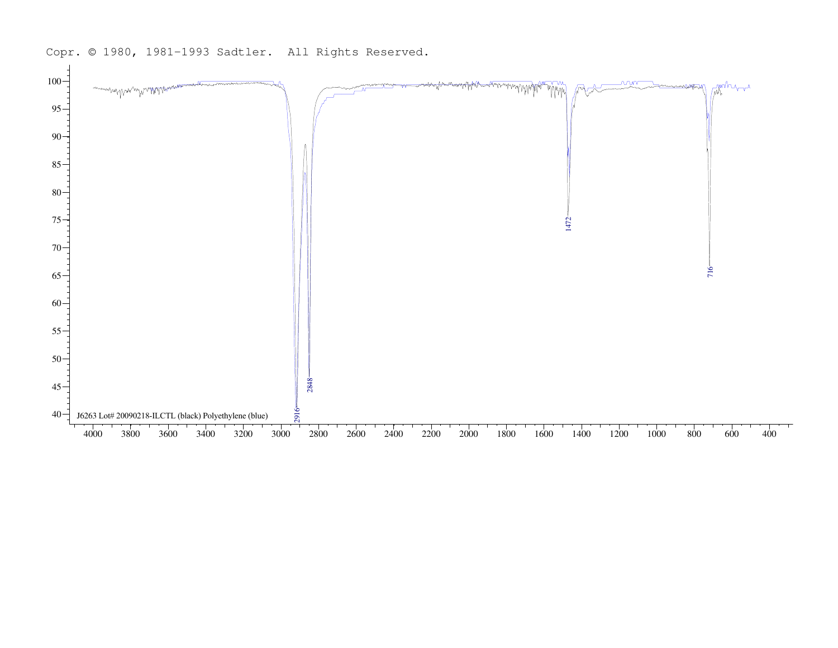

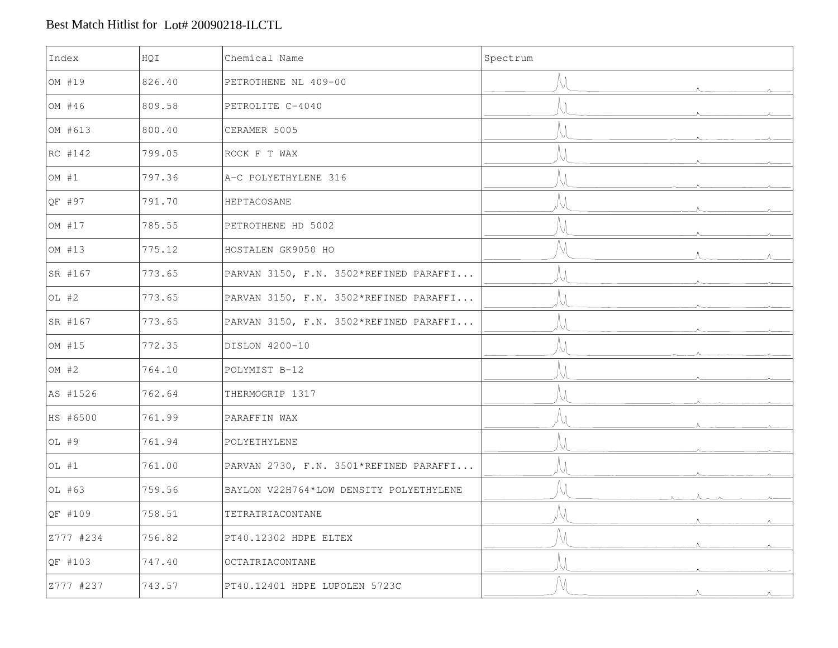#### Best Match Hitlist for Lot# 20090218-ILCTL

| Index     | HQI    | Chemical Name                           | Spectrum |
|-----------|--------|-----------------------------------------|----------|
| OM #19    | 826.40 | PETROTHENE NL 409-00                    |          |
| OM #46    | 809.58 | PETROLITE C-4040                        |          |
| OM #613   | 800.40 | CERAMER 5005                            |          |
| RC #142   | 799.05 | ROCK F T WAX                            |          |
| OM $#1$   | 797.36 | A-C POLYETHYLENE 316                    |          |
| QF #97    | 791.70 | HEPTACOSANE                             |          |
| OM #17    | 785.55 | PETROTHENE HD 5002                      |          |
| OM #13    | 775.12 | HOSTALEN GK9050 HO                      |          |
| SR #167   | 773.65 | PARVAN 3150, F.N. 3502*REFINED PARAFFI  |          |
| OL #2     | 773.65 | PARVAN 3150, F.N. 3502*REFINED PARAFFI  |          |
| SR #167   | 773.65 | PARVAN 3150, F.N. 3502*REFINED PARAFFI  |          |
| OM #15    | 772.35 | DISLON 4200-10                          |          |
| OM $#2$   | 764.10 | POLYMIST B-12                           |          |
| AS #1526  | 762.64 | THERMOGRIP 1317                         |          |
| HS #6500  | 761.99 | PARAFFIN WAX                            |          |
| OL #9     | 761.94 | POLYETHYLENE                            |          |
| OL #1     | 761.00 | PARVAN 2730, F.N. 3501*REFINED PARAFFI  |          |
| OL #63    | 759.56 | BAYLON V22H764*LOW DENSITY POLYETHYLENE |          |
| QF #109   | 758.51 | TETRATRIACONTANE                        |          |
| Z777 #234 | 756.82 | PT40.12302 HDPE ELTEX                   |          |
| QF #103   | 747.40 | OCTATRIACONTANE                         |          |
| Z777 #237 | 743.57 | PT40.12401 HDPE LUPOLEN 5723C           |          |